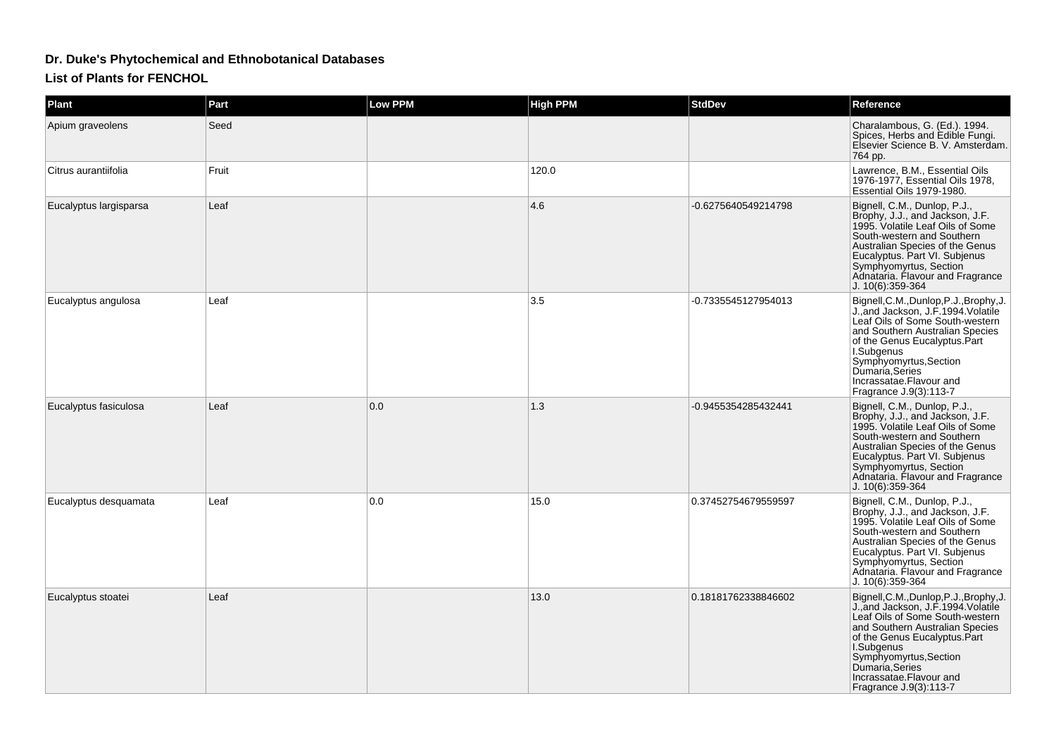## **Dr. Duke's Phytochemical and Ethnobotanical Databases**

**List of Plants for FENCHOL**

| <b>Plant</b>           | Part  | <b>Low PPM</b> | <b>High PPM</b> | <b>StdDev</b>       | Reference                                                                                                                                                                                                                                                                                             |
|------------------------|-------|----------------|-----------------|---------------------|-------------------------------------------------------------------------------------------------------------------------------------------------------------------------------------------------------------------------------------------------------------------------------------------------------|
| Apium graveolens       | Seed  |                |                 |                     | Charalambous, G. (Ed.). 1994.<br>Spices, Herbs and Edible Fungi.<br>Elsevier Science B. V. Amsterdam.<br>764 pp.                                                                                                                                                                                      |
| Citrus aurantiifolia   | Fruit |                | 120.0           |                     | Lawrence, B.M., Essential Oils<br>1976-1977, Essential Oils 1978,<br>Essential Oils 1979-1980.                                                                                                                                                                                                        |
| Eucalyptus largisparsa | Leaf  |                | 4.6             | -0.6275640549214798 | Bignell, C.M., Dunlop, P.J.,<br>Brophy, J.J., and Jackson, J.F.<br>1995. Volatile Leaf Oils of Some<br>South-western and Southern<br>Australian Species of the Genus<br>Eucalyptus. Part VI. Subjenus<br>Symphyomyrtus, Section<br>Adnataria. Flavour and Fragrance<br>$J. 10(6)$ :359-364            |
| Eucalyptus angulosa    | Leaf  |                | 3.5             | -0.7335545127954013 | Bignell, C.M., Dunlop, P.J., Brophy, J.<br>J., and Jackson, J.F. 1994. Volatile<br>Leaf Oils of Some South-western<br>and Southern Australian Species<br>of the Genus Eucalyptus.Part<br>I.Subgenus<br>Symphyomyrtus, Section<br>Dumaría, Series<br>Incrassatae.Flavour and<br>Fragrance J.9(3):113-7 |
| Eucalyptus fasiculosa  | Leaf  | 0.0            | 1.3             | -0.9455354285432441 | Bignell, C.M., Dunlop, P.J.,<br>Brophy, J.J., and Jackson, J.F.<br>1995. Volatile Leaf Oils of Some<br>South-western and Southern<br>Australian Species of the Genus<br>Eucalyptus. Part VI. Subjenus<br>Symphyomyrtus, Section<br>Adnataria. Flavour and Fragrance<br>J. 10(6):359-364               |
| Eucalyptus desquamata  | Leaf  | 0.0            | 15.0            | 0.37452754679559597 | Bignell, C.M., Dunlop, P.J.,<br>Brophy, J.J., and Jackson, J.F.<br>1995. Volatile Leaf Oils of Some<br>South-western and Southern<br>Australian Species of the Genus<br>Eucalyptus. Part VI. Subjenus<br>Symphyomyrtus, Section<br>Adnataria. Flavour and Fragrance<br>J. 10(6):359-364               |
| Eucalyptus stoatei     | Leaf  |                | 13.0            | 0.18181762338846602 | Bignell, C.M., Dunlop, P.J., Brophy, J.<br>J., and Jackson, J.F. 1994. Volatile<br>Leaf Oils of Some South-western<br>and Southern Australian Species<br>of the Genus Eucalyptus.Part<br>I.Subgenus<br>Symphyomyrtus, Section<br>Dumaria, Series<br>Incrassatae.Flavour and<br>Fragrance J.9(3):113-7 |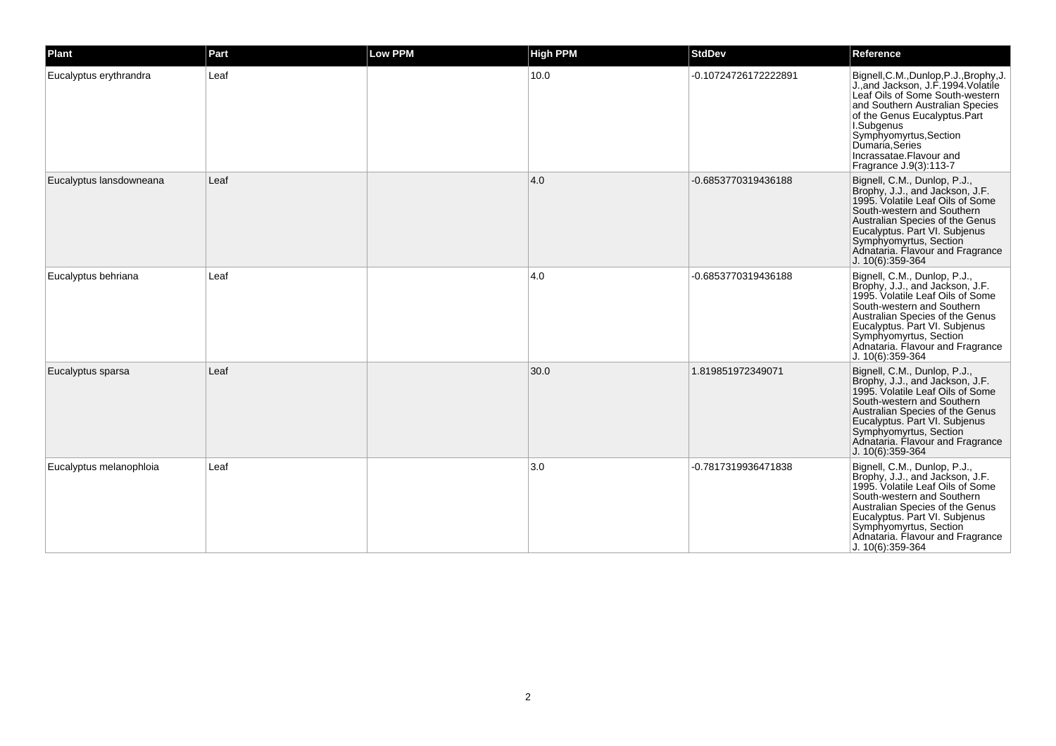| Plant                   | Part | Low PPM | <b>High PPM</b> | <b>StdDev</b>        | Reference                                                                                                                                                                                                                                                                                            |
|-------------------------|------|---------|-----------------|----------------------|------------------------------------------------------------------------------------------------------------------------------------------------------------------------------------------------------------------------------------------------------------------------------------------------------|
| Eucalyptus erythrandra  | Leaf |         | 10.0            | -0.10724726172222891 | Bignell, C.M., Dunlop, P.J., Brophy, J<br>J., and Jackson, J.F. 1994. Volatile<br>Leaf Oils of Some South-western<br>and Southern Australian Species<br>of the Genus Eucalyptus.Part<br>I.Subgenus<br>Symphyomyrtus, Section<br>Dumaria, Series<br>Incrassatae.Flavour and<br>Fragrance J.9(3):113-7 |
| Eucalyptus lansdowneana | Leaf |         | 4.0             | -0.6853770319436188  | Bignell, C.M., Dunlop, P.J.,<br>Brophy, J.J., and Jackson, J.F.<br>1995. Volatile Leaf Oils of Some<br>South-western and Southern<br>Australian Species of the Genus<br>Eucalyptus. Part VI. Subjenus<br>Symphyomyrtus, Section<br>Adnataria. Flavour and Fragrance<br>J. 10(6):359-364              |
| Eucalyptus behriana     | Leaf |         | 4.0             | -0.6853770319436188  | Bignell, C.M., Dunlop, P.J.,<br>Brophy, J.J., and Jackson, J.F.<br>1995. Volatile Leaf Oils of Some<br>South-western and Southern<br>Australian Species of the Genus<br>Eucalyptus. Part VI. Subjenus<br>Symphyomyrtus, Section<br>Adnataria. Flavour and Fragrance<br>J. 10(6):359-364              |
| Eucalyptus sparsa       | Leaf |         | 30.0            | 1.819851972349071    | Bignell, C.M., Dunlop, P.J.,<br>Brophy, J.J., and Jackson, J.F.<br>1995. Volatile Leaf Oils of Some<br>South-western and Southern<br>Australian Species of the Genus<br>Eucalyptus. Part VI. Subjenus<br>Symphyomyrtus, Section<br>Adnataria. Flavour and Fragrance<br>J. 10(6):359-364              |
| Eucalyptus melanophloia | Leaf |         | 3.0             | -0.7817319936471838  | Bignell, C.M., Dunlop, P.J.,<br>Brophy, J.J., and Jackson, J.F.<br>1995. Volatile Leaf Oils of Some<br>South-western and Southern<br>Australian Species of the Genus<br>Eucalyptus. Part VI. Subjenus<br>Symphyomyrtus, Section<br>Adnataria. Flavour and Fragrance<br>J. 10(6):359-364              |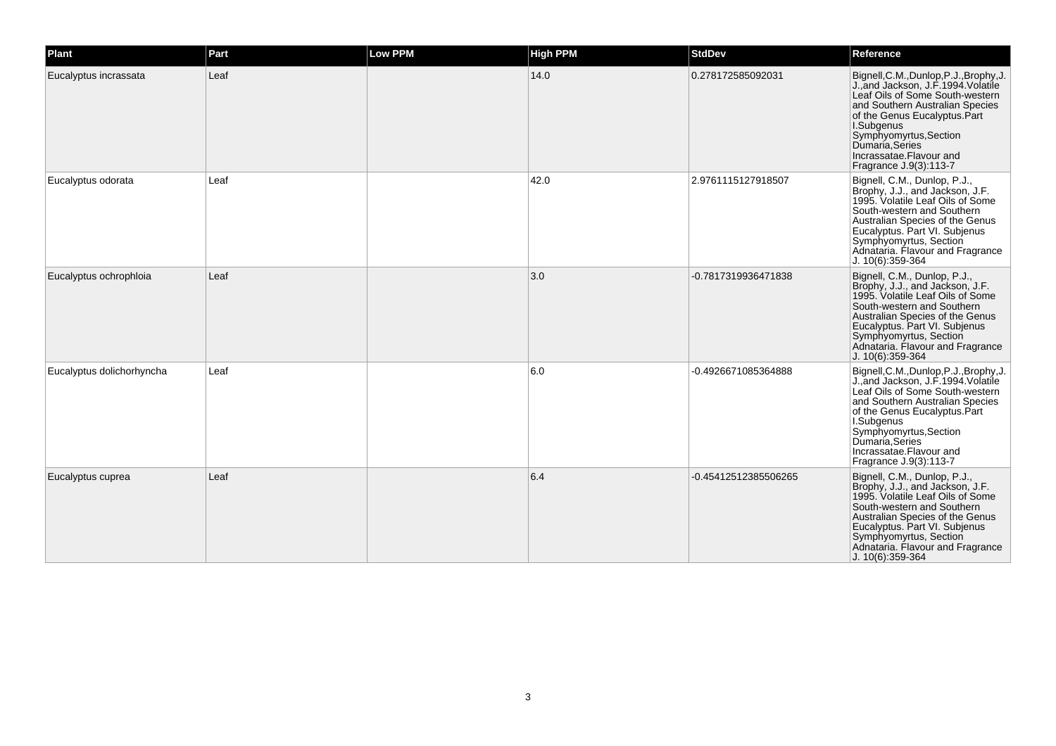| Plant                     | Part | Low PPM | <b>High PPM</b> | <b>StdDev</b>        | <b>Reference</b>                                                                                                                                                                                                                                                                                      |
|---------------------------|------|---------|-----------------|----------------------|-------------------------------------------------------------------------------------------------------------------------------------------------------------------------------------------------------------------------------------------------------------------------------------------------------|
| Eucalyptus incrassata     | Leaf |         | 14.0            | 0.278172585092031    | Bignell, C.M., Dunlop, P.J., Brophy, J.<br>J., and Jackson, J.F. 1994. Volatile<br>Leaf Oils of Some South-western<br>and Southern Australian Species<br>of the Genus Eucalyptus.Part<br>I.Subgenus<br>Symphyomyrtus, Section<br>Dumaria, Series<br>Incrassatae.Flavour and<br>Fragrance J.9(3):113-7 |
| Eucalyptus odorata        | Leaf |         | 42.0            | 2.9761115127918507   | Bignell, C.M., Dunlop, P.J.,<br>Brophy, J.J., and Jackson, J.F.<br>1995. Volatile Leaf Oils of Some<br>South-western and Southern<br>Australian Species of the Genus<br>Eucalyptus. Part VI. Subjenus<br>Symphyomyrtus, Section<br>Adnataria. Flavour and Fragrance<br>J. 10(6):359-364               |
| Eucalyptus ochrophloia    | Leaf |         | 3.0             | -0.7817319936471838  | Bignell, C.M., Dunlop, P.J.,<br>Brophy, J.J., and Jackson, J.F.<br>1995. Volatile Leaf Oils of Some<br>South-western and Southern<br>Australian Species of the Genus<br>Eucalyptus. Part VI. Subjenus<br>Symphyomyrtus, Section<br>Adnataria. Flavour and Fragrance<br>J. 10(6):359-364               |
| Eucalyptus dolichorhyncha | Leaf |         | 6.0             | -0.4926671085364888  | Bignell, C.M., Dunlop, P.J., Brophy, J.<br>J., and Jackson, J.F. 1994. Volatile<br>Leaf Oils of Some South-western<br>and Southern Australian Species<br>of the Genus Eucalyptus.Part<br>I.Subgenus<br>Symphyomyrtus, Section<br>Dumaría Series<br>Incrassatae.Flavour and<br>Fragrance J.9(3):113-7  |
| Eucalyptus cuprea         | Leaf |         | 6.4             | -0.45412512385506265 | Bignell, C.M., Dunlop, P.J.,<br>Brophy, J.J., and Jackson, J.F.<br>1995. Volatile Leaf Oils of Some<br>South-western and Southern<br>Australian Species of the Genus<br>Eucalyptus. Part VI. Subjenus<br>Symphyomyrtus, Section<br>Adnataria. Flavour and Fragrance<br>J. 10(6):359-364               |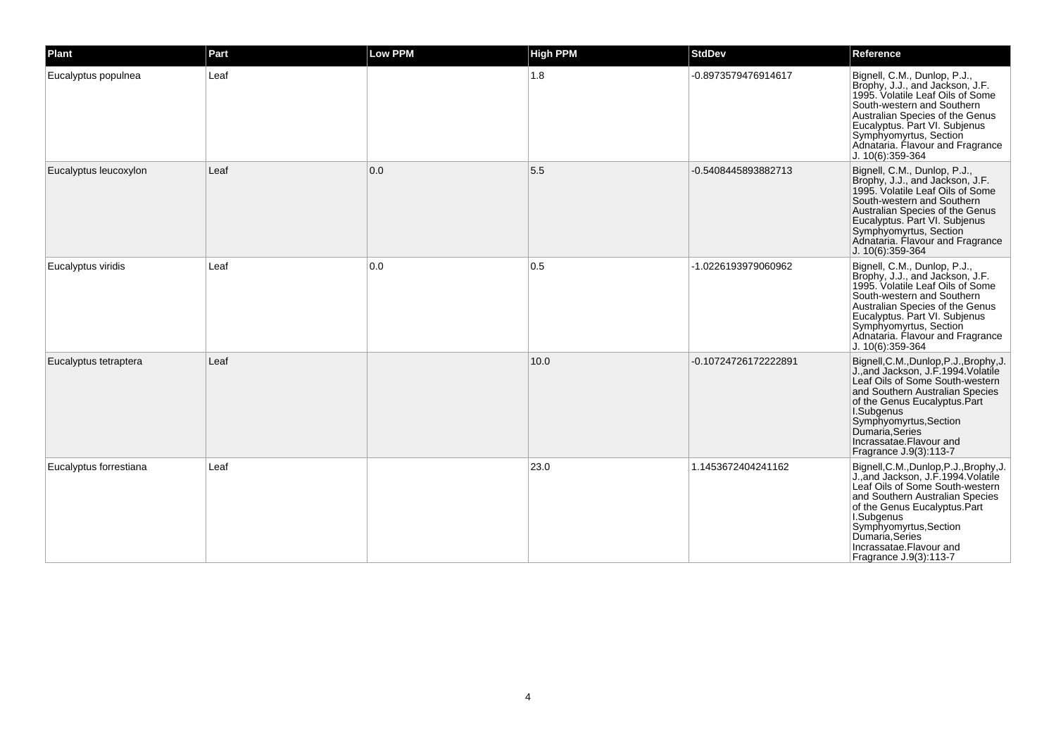| Plant                  | Part | Low PPM | <b>High PPM</b> | <b>StdDev</b>        | Reference                                                                                                                                                                                                                                                                                             |
|------------------------|------|---------|-----------------|----------------------|-------------------------------------------------------------------------------------------------------------------------------------------------------------------------------------------------------------------------------------------------------------------------------------------------------|
| Eucalyptus populnea    | Leaf |         | 1.8             | -0.8973579476914617  | Bignell, C.M., Dunlop, P.J.,<br>Brophy, J.J., and Jackson, J.F.<br>1995. Volatile Leaf Oils of Some<br>South-western and Southern<br>Australian Species of the Genus<br>Eucalyptus. Part VI. Subjenus<br>Symphyomyrtus, Section<br>Adnataria. Flavour and Fragrance<br>J. 10(6):359-364               |
| Eucalyptus leucoxylon  | Leaf | 0.0     | 5.5             | -0.5408445893882713  | Bignell, C.M., Dunlop, P.J.,<br>Brophy, J.J., and Jackson, J.F.<br>1995. Volatile Leaf Oils of Some<br>South-western and Southern<br>Australian Species of the Genus<br>Eucalyptus. Part VI. Subjenus<br>Symphyomyrtus, Section<br>Adnataria. Flavour and Fragrance<br>J. 10(6):359-364               |
| Eucalyptus viridis     | Leaf | 0.0     | 0.5             | -1.0226193979060962  | Bignell, C.M., Dunlop, P.J.,<br>Brophy, J.J., and Jackson, J.F.<br>1995. Volatile Leaf Oils of Some<br>South-western and Southern<br>Australian Species of the Genus<br>Eucalyptus. Part VI. Subjenus<br>Symphyomyrtus, Section<br>Adnataria. Flavour and Fragrance<br>J. 10(6):359-364               |
| Eucalyptus tetraptera  | Leaf |         | 10.0            | -0.10724726172222891 | Bignell, C.M., Dunlop, P.J., Brophy, J.<br>J., and Jackson, J.F. 1994. Volatile<br>Leaf Oils of Some South-western<br>and Southern Australian Species<br>of the Genus Eucalyptus.Part<br>I.Subgenus<br>Symphyomyrtus, Section<br>Dumaria, Series<br>Incrassatae.Flavour and<br>Fragrance J.9(3):113-7 |
| Eucalyptus forrestiana | Leaf |         | 23.0            | 1.1453672404241162   | Bignell, C.M., Dunlop, P.J., Brophy, J.<br>J., and Jackson, J.F. 1994 Volatile<br>Leaf Oils of Some South-western<br>and Southern Australian Species<br>of the Genus Eucalyptus. Part<br>I.Subgenus<br>Symphyomyrtus, Section<br>Dumaria Series<br>Incrassatae.Flavour and<br>Fragrance J.9(3):113-7  |